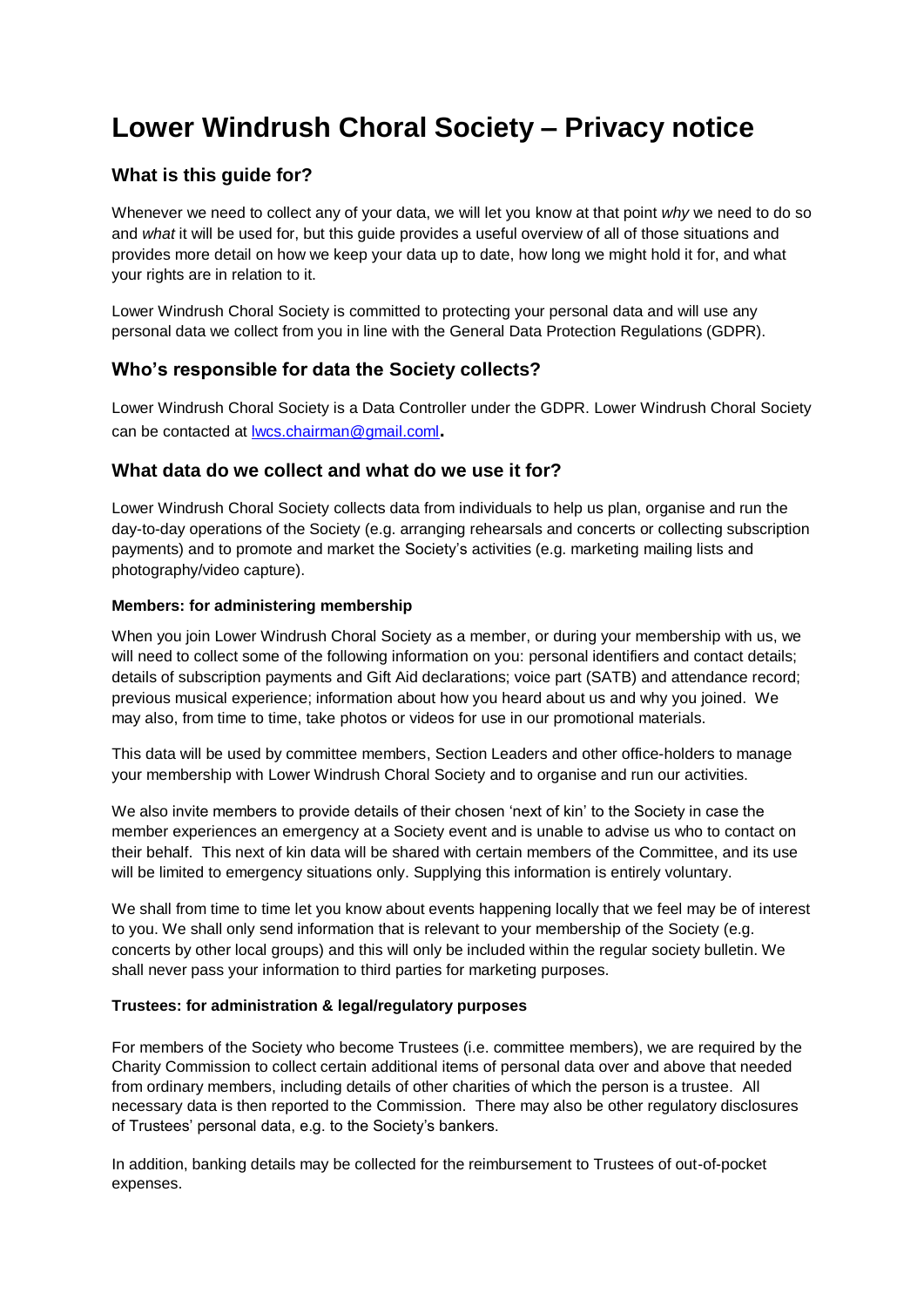# **Lower Windrush Choral Society – Privacy notice**

# **What is this guide for?**

Whenever we need to collect any of your data, we will let you know at that point *why* we need to do so and *what* it will be used for, but this guide provides a useful overview of all of those situations and provides more detail on how we keep your data up to date, how long we might hold it for, and what your rights are in relation to it.

Lower Windrush Choral Society is committed to protecting your personal data and will use any personal data we collect from you in line with the General Data Protection Regulations (GDPR).

## **Who's responsible for data the Society collects?**

Lower Windrush Choral Society is a Data Controller under the GDPR. Lower Windrush Choral Society can be contacted at [lwcs.chairman@gmail.coml](mailto:lwcs.chairman@gmail.coml)**.**

### **What data do we collect and what do we use it for?**

Lower Windrush Choral Society collects data from individuals to help us plan, organise and run the day-to-day operations of the Society (e.g. arranging rehearsals and concerts or collecting subscription payments) and to promote and market the Society's activities (e.g. marketing mailing lists and photography/video capture).

#### **Members: for administering membership**

When you join Lower Windrush Choral Society as a member, or during your membership with us, we will need to collect some of the following information on you: personal identifiers and contact details; details of subscription payments and Gift Aid declarations; voice part (SATB) and attendance record; previous musical experience; information about how you heard about us and why you joined. We may also, from time to time, take photos or videos for use in our promotional materials.

This data will be used by committee members, Section Leaders and other office-holders to manage your membership with Lower Windrush Choral Society and to organise and run our activities.

We also invite members to provide details of their chosen 'next of kin' to the Society in case the member experiences an emergency at a Society event and is unable to advise us who to contact on their behalf. This next of kin data will be shared with certain members of the Committee, and its use will be limited to emergency situations only. Supplying this information is entirely voluntary.

We shall from time to time let you know about events happening locally that we feel may be of interest to you. We shall only send information that is relevant to your membership of the Society (e.g. concerts by other local groups) and this will only be included within the regular society bulletin. We shall never pass your information to third parties for marketing purposes.

#### **Trustees: for administration & legal/regulatory purposes**

For members of the Society who become Trustees (i.e. committee members), we are required by the Charity Commission to collect certain additional items of personal data over and above that needed from ordinary members, including details of other charities of which the person is a trustee. All necessary data is then reported to the Commission. There may also be other regulatory disclosures of Trustees' personal data, e.g. to the Society's bankers.

In addition, banking details may be collected for the reimbursement to Trustees of out-of-pocket expenses.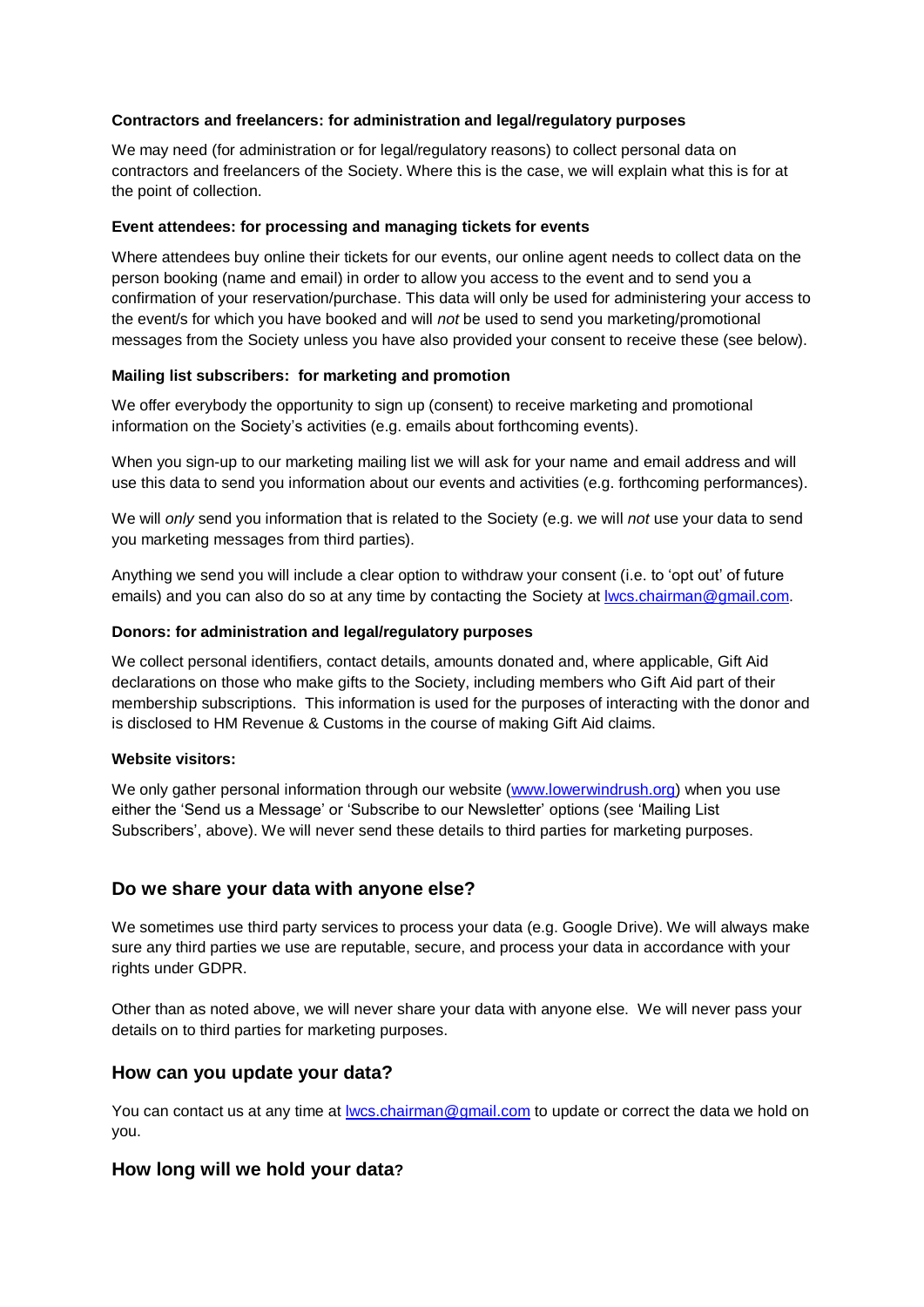#### **Contractors and freelancers: for administration and legal/regulatory purposes**

We may need (for administration or for legal/regulatory reasons) to collect personal data on contractors and freelancers of the Society. Where this is the case, we will explain what this is for at the point of collection.

#### **Event attendees: for processing and managing tickets for events**

Where attendees buy online their tickets for our events, our online agent needs to collect data on the person booking (name and email) in order to allow you access to the event and to send you a confirmation of your reservation/purchase. This data will only be used for administering your access to the event/s for which you have booked and will *not* be used to send you marketing/promotional messages from the Society unless you have also provided your consent to receive these (see below).

#### **Mailing list subscribers: for marketing and promotion**

We offer everybody the opportunity to sign up (consent) to receive marketing and promotional information on the Society's activities (e.g. emails about forthcoming events).

When you sign-up to our marketing mailing list we will ask for your name and email address and will use this data to send you information about our events and activities (e.g. forthcoming performances).

We will *only* send you information that is related to the Society (e.g. we will *not* use your data to send you marketing messages from third parties).

Anything we send you will include a clear option to withdraw your consent (i.e. to 'opt out' of future emails) and you can also do so at any time by contacting the Society at Iwcs.chairman@gmail.com.

#### **Donors: for administration and legal/regulatory purposes**

We collect personal identifiers, contact details, amounts donated and, where applicable, Gift Aid declarations on those who make gifts to the Society, including members who Gift Aid part of their membership subscriptions. This information is used for the purposes of interacting with the donor and is disclosed to HM Revenue & Customs in the course of making Gift Aid claims.

#### **Website visitors:**

We only gather personal information through our website [\(www.lowerwindrush.org\)](http://www.lowerwindrush.org/) when you use either the 'Send us a Message' or 'Subscribe to our Newsletter' options (see 'Mailing List Subscribers', above). We will never send these details to third parties for marketing purposes.

## **Do we share your data with anyone else?**

We sometimes use third party services to process your data (e.g. Google Drive). We will always make sure any third parties we use are reputable, secure, and process your data in accordance with your rights under GDPR.

Other than as noted above, we will never share your data with anyone else. We will never pass your details on to third parties for marketing purposes.

## **How can you update your data?**

You can contact us at any time at <u>lwcs.chairman@gmail.com</u> to update or correct the data we hold on you.

## **How long will we hold your data?**